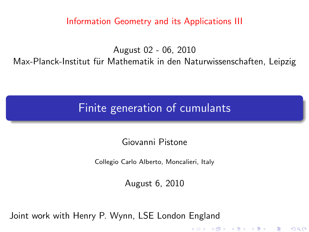Information Geometry and its Applications III

August 02 - 06, 2010 Max-Planck-Institut für Mathematik in den Naturwissenschaften, Leipzig

Finite generation of cumulants

Giovanni Pistone

Collegio Carlo Alberto, Moncalieri, Italy

August 6, 2010

<span id="page-0-0"></span>Joint work with Henry P. Wynn, LSE London England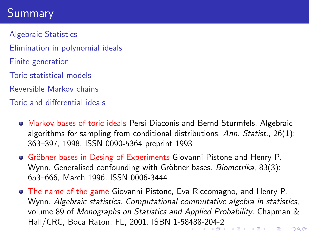# Summary

Algebraic Statistics Elimination in polynomial ideals Finite generation Toric statistical models Reversible Markov chains Toric and differential ideals

- Markov bases of toric ideals Persi Diaconis and Bernd Sturmfels. Algebraic algorithms for sampling from conditional distributions. Ann. Statist., 26(1): 363–397, 1998. ISSN 0090-5364 preprint 1993
- **Gröbner bases in Desing of Experiments Giovanni Pistone and Henry P.** Wynn. Generalised confounding with Gröbner bases. Biometrika, 83(3): 653–666, March 1996. ISSN 0006-3444
- <span id="page-1-0"></span>The name of the game Giovanni Pistone, Eva Riccomagno, and Henry P. Wynn. Algebraic statistics. Computational commutative algebra in statistics, volume 89 of Monographs on Statistics and Applied Probability. Chapman & Hall/CRC, Boca Raton, FL, 2001. ISBN 1-58[48](#page-0-0)[8-2](#page-2-0)[0](#page-0-0)[4-2](#page-1-0) $299$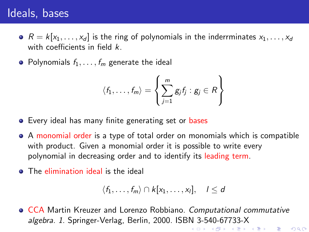## Ideals, bases

- $R = k[x_1, \ldots, x_d]$  is the ring of polynomials in the inderrminates  $x_1, \ldots, x_d$ with coefficients in field k.
- Polynomials  $f_1, \ldots, f_m$  generate the ideal

$$
\langle f_1,\ldots,f_m\rangle=\left\{\sum_{j=1}^mg_jf_j:g_j\in R\right\}
$$

- **•** Every ideal has many finite generating set or bases
- A monomial order is a type of total order on monomials which is compatible with product. Given a monomial order it is possible to write every polynomial in decreasing order and to identify its leading term.
- **•** The elimination ideal is the ideal

$$
\langle f_1,\ldots,f_m\rangle\cap k[x_1,\ldots,x_l],\quad l\leq d
$$

K □ ▶ K ④ ▶ K 혼 ▶ K 혼 ▶ ○ 혼 ○ 900

<span id="page-2-0"></span>CCA Martin Kreuzer and Lorenzo Robbiano. Computational commutative algebra. 1. Springer-Verlag, Berlin, 2000. ISBN 3-540-67733-X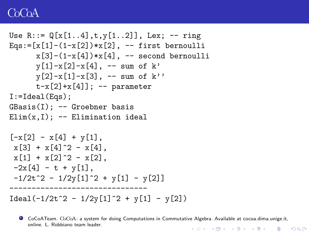### CoCoA

```
Use R:=-\mathbb{Q}[x[1..4],t,y[1..2]], Lex; -- ring
Eqs:=[x[1]-(1-x[2])**[2], -- first bernoulli
      x[3]-(1-x[4])**[4], -- second bernoulli
      v[1]-x[2]-x[4], -- sum of k'
      y[2]-x[1]-x[3], -- sum of k''
      t-x[2]+x[4]; -- parameter
I:=Ideal(Eqs);GBasis(I); -- Groebner basis
Elim(x, I); -- Elimination ideal[-x[2] - x[4] + y[1],x[3] + x[4] 2 - x[4].
x[1] + x[2] - x[2].
-2x[4] - t + y[1],-1/2t^2 - 1/2y[1]^2 + y[1] - y[2]-------------------------------
Ideal(-1/2t^2 - 1/2y[1]^2 + y[1] - y[2])
```
CoCoATeam. CoCoA: a system for doing Computations in Commutative Algebra. Available at cocoa.dima.unige.it, online. L. Robbiano team leader.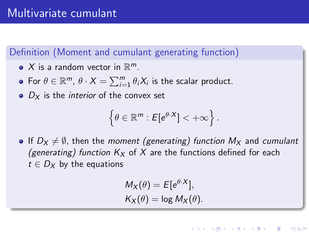### Definition (Moment and cumulant generating function)

- $X$  is a random vector in  $\mathbb{R}^m$ .
- For  $\theta \in \mathbb{R}^m$ ,  $\theta \cdot X = \sum_{i=1}^m \theta_i X_i$  is the scalar product.
- $\bullet$   $D_x$  is the *interior* of the convex set

$$
\left\{\theta\in\mathbb{R}^m: E[e^{\theta\cdot X}]<+\infty\right\}.
$$

• If  $D_x \neq \emptyset$ , then the moment (generating) function  $M_x$  and cumulant (generating) function  $K_X$  of X are the functions defined for each  $t \in D_X$  by the equations

$$
M_X(\theta) = E[e^{\theta \cdot X}],
$$
  

$$
K_X(\theta) = \log M_X(\theta).
$$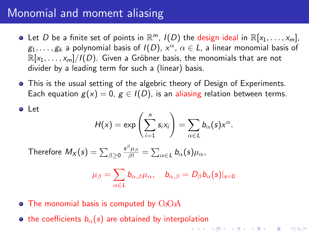### Monomial and moment aliasing

Let

- Let D be a finite set of points in  $\mathbb{R}^m$ ,  $I(D)$  the design ideal in  $\mathbb{R}[x_1,\ldots,x_m]$ ,  $g_1,\ldots,g_k$  a polynomial basis of  $I(D)$ ,  $x^\alpha ,\, \alpha \in L$ , a linear monomial basis of  $\mathbb{R}[x_1,\ldots,x_m]/I(D)$ . Given a Gröbner basis, the monomials that are not divider by a leading term for such a (linear) basis.
- This is the usual setting of the algebric theory of Design of Experiments. Each equation  $g(x) = 0$ ,  $g \in I(D)$ , is an aliasing relation between terms.

$$
H(x) = \exp\left(\sum_{i=1}^n s_i x_i\right) = \sum_{\alpha \in L} b_{\alpha}(s) x^{\alpha}.
$$

Therefore  $\mathit{M}_X(s)=\sum_{\beta\geq 0}$  $\frac{\mathsf{s}^\beta \mu_\beta}{\beta !} = \sum_{\alpha \in \mathcal{L}} b_\alpha(\mathsf{s}) \mu_\alpha,$ 

$$
\mu_{\beta}=\sum_{\alpha\in L}b_{\alpha,\beta}\mu_{\alpha},\quad b_{\alpha,\beta}=D_{\beta}b_{\alpha}(\mathsf{s})|_{\mathsf{s}=0}
$$

- The monomial basis is computed by CoCoA
- the coefficients  $b_{\alpha}(s)$  are obtained by interpolation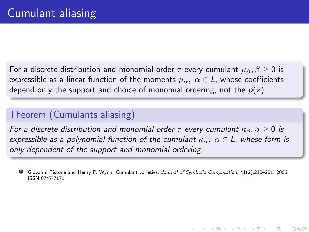For a discrete distribution and monomial order  $\tau$  every cumulant  $\mu_{\beta}, \beta \geq 0$  is expressible as a linear function of the moments  $\mu_{\alpha}$ ,  $\alpha \in L$ , whose coefficients depend only the support and choice of monomial ordering, not the  $p(x)$ .

### Theorem (Cumulants aliasing)

For a discrete distribution and monomial order  $\tau$  every cumulant  $\kappa_{\beta}$ ,  $\beta \ge 0$  is expressible as a polynomial function of the cumulant  $\kappa_{\alpha}$ ,  $\alpha \in L$ , whose form is only dependent of the support and monomial ordering.

Giovanni Pistone and Henry P. Wynn. Cumulant varieties. Journal of Symbolic Computation, 41(2):210–221, 2006. ISSN 0747-7171

K ロ K K d K K K X X R X X R X R R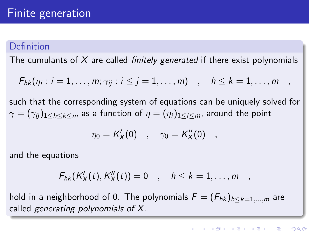### Definition

The cumulants of X are called *finitely generated* if there exist polynomials

$$
F_{hk}(\eta_i : i = 1,\ldots,m; \gamma_{ij} : i \leq j = 1,\ldots,m) \quad , \quad h \leq k = 1,\ldots,m \quad ,
$$

such that the corresponding system of equations can be uniquely solved for  $\gamma = (\gamma_{ii})_{1 \leq h \leq k \leq m}$  as a function of  $\eta = (\eta_i)_{1 \leq i \leq m}$ , around the point

$$
\eta_0 = K'_X(0) \quad , \quad \gamma_0 = K''_X(0) \quad ,
$$

and the equations

$$
F_{hk}(K'_X(t),K''_X(t))=0\quad,\quad h\leq k=1,\ldots,m\quad,
$$

hold in a neighborhood of 0. The polynomials  $F = (F_{hk})_{h \le k=1,\dots,m}$  are called generating polynomials of X.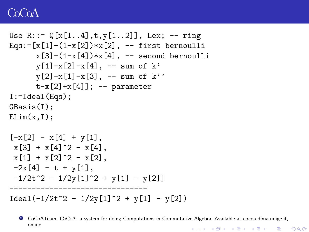### CoCoA

```
Use R:=-\mathbb{Q}[x[1..4],t,y[1..2]], Lex; -- ring
Eqs:=[x[1]-(1-x[2])**[2], -- first bernoulli
      x[3]-(1-x[4])**[4], -- second bernoulli
      v[1]-x[2]-x[4], -- sum of k'
      y[2]-x[1]-x[3], -- sum of k''
      t-x[2]+x[4]; -- parameter
I:=Ideal(Eqs);GBasis(I);
Elim(x,I):[-x[2] - x[4] + y[1],x[3] + x[4] 2 - x[4].
 x[1] + x[2] - x[2].
 -2x[4] - t + y[1],-1/2t^2 - 1/2y[1]^2 + y[1] - y[2]-------------------------------
Ideal(-1/2t^2 - 1/2y[1]^2 + y[1] - y[2])
```
CoCoATeam. CoCoA: a system for doing Computations in Commutative Algebra. Available at cocoa.dima.unige.it, online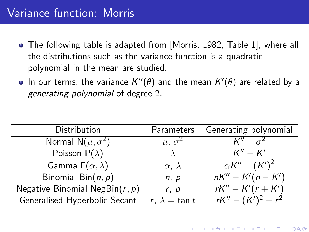## Variance function: Morris

- The following table is adapted from [Morris, 1982, Table 1], where all the distributions such as the variance function is a quadratic polynomial in the mean are studied.
- In our terms, the variance  $\mathcal{K}''(\theta)$  and the mean  $\mathcal{K}'(\theta)$  are related by a generating polynomial of degree 2.

| Distribution                      | Parameters            | Generating polynomial |
|-----------------------------------|-----------------------|-----------------------|
| Normal $N(\mu, \sigma^2)$         | $\mu, \sigma^2$       | $K'' - \sigma^2$      |
| Poisson $P(\lambda)$              |                       | $K''-K'$              |
| Gamma $\Gamma(\alpha,\lambda)$    | $\alpha$ , $\lambda$  | $\alpha K'' - (K')^2$ |
| Binomial Bin $(n, p)$             | n, p                  | $nK'' - K'(n - K')$   |
| Negative Binomial NegBin $(r, p)$ | r, p                  | $rK'' - K'(r + K')$   |
| Generalised Hyperbolic Secant     | r, $\lambda = \tan t$ | $rK'' - (K')^2 - r^2$ |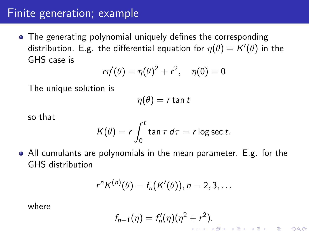## Finite generation; example

• The generating polynomial uniquely defines the corresponding distribution. E.g. the differential equation for  $\eta(\theta)=\mathcal{K}'(\theta)$  in the GHS case is

$$
r\eta'(\theta) = \eta(\theta)^2 + r^2, \quad \eta(0) = 0
$$

The unique solution is

$$
\eta(\theta)=r\tan t
$$

so that

$$
K(\theta) = r \int_0^t \tan \tau \, d\tau = r \log \sec t.
$$

All cumulants are polynomials in the mean parameter. E.g. for the GHS distribution

$$
r^{n} K^{(n)}(\theta) = f_n(K'(\theta)), n = 2, 3, \ldots
$$

where

$$
f_{n+1}(\eta) = f'_n(\eta)(\eta^2 + r^2).
$$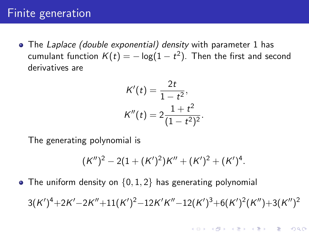### Finite generation

• The Laplace (double exponential) density with parameter 1 has cumulant function  $\mathcal{K}(t)=-\log(1-t^2).$  Then the first and second derivatives are

$$
K'(t) = \frac{2t}{1 - t^2},
$$
  

$$
K''(t) = 2\frac{1 + t^2}{(1 - t^2)^2}.
$$

The generating polynomial is

$$
(K'')^{2}-2(1+(K')^{2})K''+(K')^{2}+(K')^{4}.
$$

• The uniform density on  $\{0, 1, 2\}$  has generating polynomial

 $3(K')^4 + 2K' - 2K'' + 11(K')^2 - 12K'K'' - 12(K')^3 + 6(K')^2(K'') + 3(K'')^2$ 

K ロ ▶ K 레 ▶ | K 회 ▶ | K 환 ▶ │ 환 │ ⊙ Q Q ⊙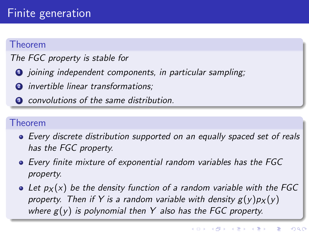#### Theorem

### The FGC property is stable for

- **1** joining independent components, in particular sampling;
- **2** invertible linear transformations;
- **3** convolutions of the same distribution.

### Theorem

- Every discrete distribution supported on an equally spaced set of reals has the FGC property.
- Every finite mixture of exponential random variables has the FGC property.
- Let  $p_X(x)$  be the density function of a random variable with the FGC property. Then if Y is a random variable with density  $g(y)p(x)$ where  $g(y)$  is polynomial then Y also has the FGC property.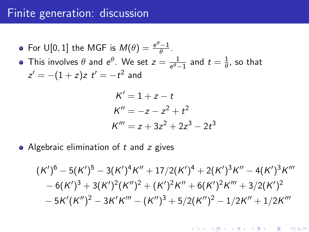### Finite generation: discussion

For U[0, 1] the MGF is  $M(\theta) = \frac{e^{\theta}-1}{\theta}$  $\frac{-1}{\theta}$ .

This involves  $\theta$  and  $e^{\theta}$ . We set  $z = \frac{1}{e^{\theta}}$ .  $\frac{1}{e^{\theta}-1}$  and  $t=\frac{1}{\theta}$  $\frac{1}{\theta}$ , so that  $z' = -(1+z)z$   $t'=-t^2$  and

$$
K' = 1 + z - t
$$
  
\n
$$
K'' = -z - z2 + t2
$$
  
\n
$$
K''' = z + 3z2 + 2z3 - 2t3
$$

• Algebraic elimination of  $t$  and  $z$  gives

$$
(K')^6 - 5(K')^5 - 3(K')^4K'' + 17/2(K')^4 + 2(K')^3K'' - 4(K')^3K''' - 6(K')^3 + 3(K')^2(K'')^2 + (K')^2K'' + 6(K')^2K''' + 3/2(K')^2 - 5K'(K'')^2 - 3K'K''' - (K'')^3 + 5/2(K'')^2 - 1/2K'' + 1/2K'''
$$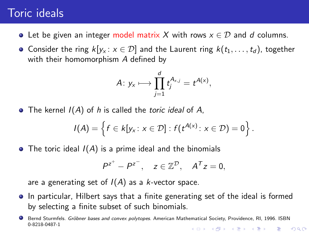### Toric ideals

- Let be given an integer model matrix X with rows  $x \in \mathcal{D}$  and d columns.
- Consider the ring  $k[y_x : x \in \mathcal{D}]$  and the Laurent ring  $k(t_1, \ldots, t_d)$ , together with their homomorphism A defined by

$$
A\colon y_x \longmapsto \prod_{j=1}^d t_j^{A_{x,j}} = t^{A(x)},
$$

 $\bullet$  The kernel  $I(A)$  of h is called the *toric ideal* of A,

$$
I(A) = \left\{ f \in k[y_x : x \in \mathcal{D}] : f(t^{A(x)} : x \in \mathcal{D}) = 0 \right\}.
$$

• The toric ideal  $I(A)$  is a prime ideal and the binomials

$$
P^{z^+} - P^{z^-}, \quad z \in \mathbb{Z}^{\mathcal{D}}, \quad A^T z = 0,
$$

are a generating set of  $I(A)$  as a k-vector space.

- In particular, Hilbert says that a finite generating set of the ideal is formed by selecting a finite subset of such binomials.
- Bernd Sturmfels. Gröbner bases and convex polytopes. American Mathematical Society, Providence, RI, 1996. ISBN 0-8218-0487-1K ロ ▶ K 레 ▶ | K 회 ▶ | K 환 ▶ │ 환 │ ⊙ Q Q ⊙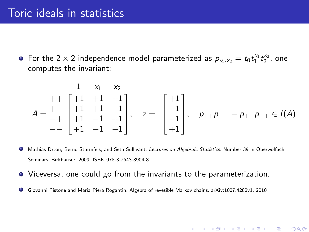For the 2  $\times$  2 independence model parameterized as  $p_{x_1,x_2} = t_0 t_1^{x_1} t_2^{x_2}$ , one computes the invariant:

$$
A = \begin{matrix} 1 & x_1 & x_2 \\ ++ & 1 & +1 & +1 \\ + & +1 & +1 & -1 \\ -+ & +1 & -1 & +1 \\ + & +1 & -1 & -1 \end{matrix}, \quad z = \begin{bmatrix} +1 \\ -1 \\ -1 \\ +1 \end{bmatrix}, \quad p_{++}p_{--} - p_{+-}p_{-+} \in I(A)
$$

(ロ) (御) (唐) (唐) (唐) 2000

- Mathias Drton, Bernd Sturmfels, and Seth Sullivant. Lectures on Algebraic Statistics. Number 39 in Oberwolfach Seminars. Birkhäuser, 2009. ISBN 978-3-7643-8904-8
- Viceversa, one could go from the invariants to the parameterization.
- . Giovanni Pistone and Maria Piera Rogantin. Algebra of revesible Markov chains. arXiv:1007.4282v1, 2010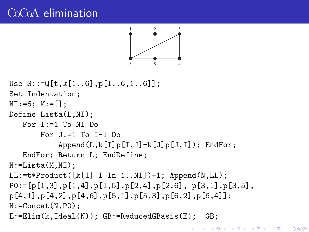## C<sub>o</sub>C<sub>o</sub>A elimination



```
Use S::=Q[t,k[1..6],p[1..6,1..6]];
Set Indentation;
NI:=6; M:=[];
Define Lista(L,NI);
   For I:=1 To NI Do
       For J:=1 To I-1 Do
           Append(L, k[I]p[I, J] - k[J]p[J, I]); EndFor;
   EndFor; Return L; EndDefine;
N:=Lista(M,NI);
LL:=t*Product([k[I][I In 1..NI])-1; Appendix. LL);P0:=[p[1,3],p[1,4],p[1,5],p[2,4],p[2,6],p[3,1],p[3,5],p[4,1],p[4,2],p[4,6],p[5,1],p[5,3],p[6,2],p[6,4]];
N:=Concat(N,P0);
E:=Elim(k,Ideal(N)); GB:=ReducedGBasis(E); GB;
```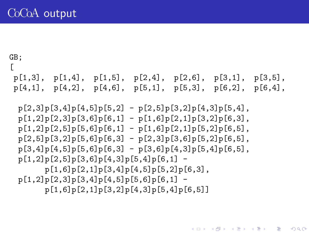```
GB;
\Gammap[1,3], p[1,4], p[1,5], p[2,4], p[2,6], p[3,1], p[3,5],p[4,1], p[4,2], p[4,6], p[5,1], p[5,3], p[6,2], p[6,4],
```
 $p[2,3]p[3,4]p[4,5]p[5,2] - p[2,5]p[3,2]p[4,3]p[5,4],$  $p[1,2]p[2,3]p[3,6]p[6,1] - p[1,6]p[2,1]p[3,2]p[6,3],$  $p[1,2]p[2,5]p[5,6]p[6,1] - p[1,6]p[2,1]p[5,2]p[6,5],$  $p[2,5]p[3,2]p[5,6]p[6,3] - p[2,3]p[3,6]p[5,2]p[6,5],$  $p[3,4]p[4,5]p[5,6]p[6,3] - p[3,6]p[4,3]p[5,4]p[6,5],$  $p[1,2]p[2,5]p[3,6]p[4,3]p[5,4]p[6,1]$  p[1,6]p[2,1]p[3,4]p[4,5]p[5,2]p[6,3],  $p[1,2]p[2,3]p[3,4]p[4,5]p[5,6]p[6,1]$  p[1,6]p[2,1]p[3,2]p[4,3]p[5,4]p[6,5]]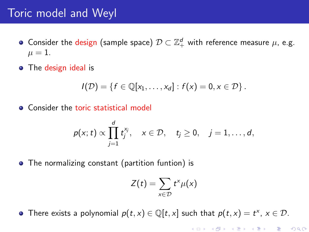### Toric model and Weyl

- Consider the design (sample space)  $\mathcal{D} \subset \mathbb{Z}_{+}^{d}$  with reference measure  $\mu$ , e.g.  $\mu = 1$ .
- The design ideal is

$$
I(\mathcal{D}) = \{f \in \mathbb{Q}[x_1,\ldots,x_d] : f(x) = 0, x \in \mathcal{D}\}.
$$

• Consider the toric statistical model

$$
p(x; t) \propto \prod_{j=1}^d t_j^{x_j}, \quad x \in \mathcal{D}, \quad t_j \geq 0, \quad j=1,\ldots,d,
$$

• The normalizing constant (partition funtion) is

$$
Z(t)=\sum_{x\in\mathcal{D}}t^x\mu(x)
$$

There exists a polynomial  $p(t, x) \in \mathbb{Q}[t, x]$  such that  $p(t, x) = t^x$ ,  $x \in \mathcal{D}$ .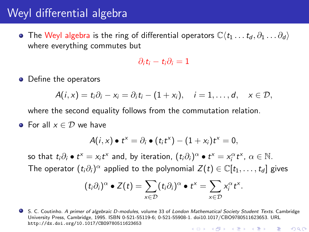## Weyl differential algebra

**•** The Weyl algebra is the ring of differential operators  $\mathbb{C}\langle t_1 \dots t_d, \partial_1 \dots \partial_d \rangle$ where everything commutes but

$$
\partial_i t_i - t_i \partial_i = 1
$$

**o** Define the operators

$$
A(i,x)=t_i\partial_i-x_i=\partial_it_i-(1+x_i),\quad i=1,\ldots,d,\quad x\in\mathcal{D},
$$

where the second equality follows from the commutation relation.

• For all  $x \in \mathcal{D}$  we have

$$
A(i,x)\bullet t^x=\partial_i\bullet(t_it^x)-(1+x_i)t^x=0,
$$

so that  $t_i\partial_i \bullet t^x = x_i t^x$  and, by iteration,  $(t_i\partial_i)^\alpha \bullet t^x = x_i^\alpha t^x$ ,  $\alpha \in \mathbb{N}$ . The operator  $(t_i\partial_i)^\alpha$  applied to the polynomial  $Z(t)\in \mathbb C[t_1,\ldots,t_d]$  gives

$$
(t_i\partial_i)^\alpha \bullet Z(t) = \sum_{x \in \mathcal{D}} (t_i\partial_i)^\alpha \bullet t^x = \sum_{x \in \mathcal{D}} x_i^\alpha t^x.
$$

● S. C. Coutinho. A primer of algebraic D-modules, volume 33 of London Mathematical Society Student Texts. Cambridge University Press, Cambridge, 1995. ISBN 0-521-55119-6; 0-521-55908-1. doi10.1017/CBO9780511623653. URL <http://dx.doi.org/10.1017/CBO9780511623653>K ロ K K @ K K X B K X B K ( B K  $2Q$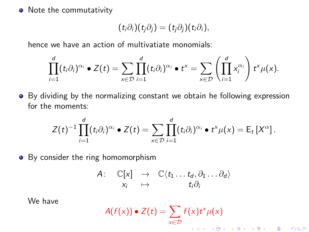• Note the commutativity

$$
(t_i\partial_i)(t_j\partial_j)=(t_j\partial_j)(t_i\partial_i),
$$

hence we have an action of multivatiate monomials:

$$
\prod_{i=1}^d (t_i\partial_i)^{\alpha_i} \bullet Z(t) = \sum_{x \in \mathcal{D}} \prod_{i=1}^d (t_i\partial_i)^{\alpha_i} \bullet t^x = \sum_{x \in \mathcal{D}} \left( \prod_{i=1}^d x_i^{\alpha_i} \right) t^x \mu(x).
$$

By dividing by the normalizing constant we obtain he following expression for the moments:

$$
Z(t)^{-1}\prod_{i=1}^d(t_i\partial_i)^{\alpha_i}\bullet Z(t)=\sum_{x\in\mathcal{D}}\prod_{i=1}^d(t_i\partial_i)^{\alpha_i}\bullet t^x\mu(x)=\mathsf{E}_t\left[X^{\alpha}\right].
$$

• By consider the ring homomorphism

$$
A: \quad \mathbb{C}[x] \quad \to \quad \mathbb{C}\langle t_1 \dots t_d, \partial_1 \dots \partial_d \rangle
$$

$$
x_i \quad \mapsto \quad t_i \partial_i
$$

We have

$$
A(f(x)) \bullet Z(t) = \sum_{x \in \mathcal{D}} f(x) t^x \mu(x)
$$

 $2Q$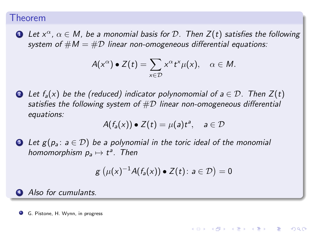#### Theorem

**1** Let  $x^{\alpha}$ ,  $\alpha \in M$ , be a monomial basis for D. Then  $Z(t)$  satisfies the following system of  $\#M = \#D$  linear non-omogeneous differential equations:

$$
A(x^{\alpha}) \bullet Z(t) = \sum_{x \in \mathcal{D}} x^{\alpha} t^{x} \mu(x), \quad \alpha \in M.
$$

2 Let  $f_a(x)$  be the (reduced) indicator polynomomial of  $a \in \mathcal{D}$ . Then  $Z(t)$ satisfies the following system of  $\#D$  linear non-omogeneous differential equations:

$$
A(f_a(x)) \bullet Z(t) = \mu(a)t^a, \quad a \in \mathcal{D}
$$

**3** Let  $g(p_a : a \in \mathcal{D})$  be a polynomial in the toric ideal of the monomial homomorphism  $p_a \mapsto t^a$ . Then

$$
g\left(\mu(x)^{-1}A(f_a(x))\bullet Z(t)\colon a\in\mathcal{D}\right)=0
$$

K ロ K K d K K K B K K B K K B B

 $\Omega$ 

#### **4** Also for cumulants.

G. Pistone, H. Wynn, in progress